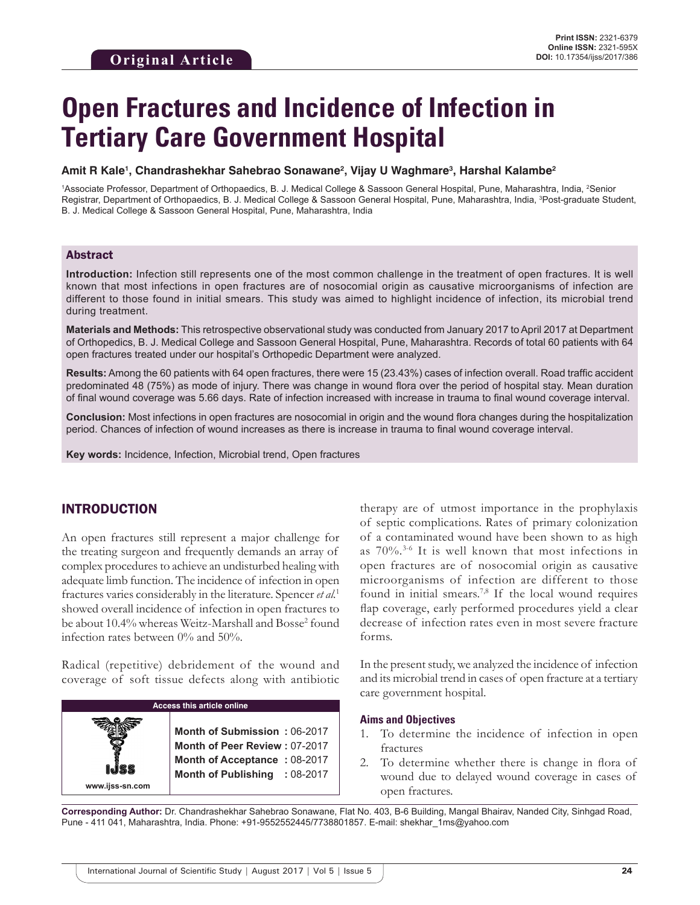# **Open Fractures and Incidence of Infection in Tertiary Care Government Hospital**

#### **Amit R Kale1 , Chandrashekhar Sahebrao Sonawane2 , Vijay U Waghmare3 , Harshal Kalambe2**

<sup>1</sup>Associate Professor, Department of Orthopaedics, B. J. Medical College & Sassoon General Hospital, Pune, Maharashtra, India, <sup>2</sup>Senior Registrar, Department of Orthopaedics, B. J. Medical College & Sassoon General Hospital, Pune, Maharashtra, India, <sup>3</sup>Post-graduate Student, B. J. Medical College & Sassoon General Hospital, Pune, Maharashtra, India

### Abstract

**Introduction:** Infection still represents one of the most common challenge in the treatment of open fractures. It is well known that most infections in open fractures are of nosocomial origin as causative microorganisms of infection are different to those found in initial smears. This study was aimed to highlight incidence of infection, its microbial trend during treatment.

**Materials and Methods:** This retrospective observational study was conducted from January 2017 to April 2017 at Department of Orthopedics, B. J. Medical College and Sassoon General Hospital, Pune, Maharashtra. Records of total 60 patients with 64 open fractures treated under our hospital's Orthopedic Department were analyzed.

**Results:** Among the 60 patients with 64 open fractures, there were 15 (23.43%) cases of infection overall. Road traffic accident predominated 48 (75%) as mode of injury. There was change in wound flora over the period of hospital stay. Mean duration of final wound coverage was 5.66 days. Rate of infection increased with increase in trauma to final wound coverage interval.

**Conclusion:** Most infections in open fractures are nosocomial in origin and the wound flora changes during the hospitalization period. Chances of infection of wound increases as there is increase in trauma to final wound coverage interval.

**Key words:** Incidence, Infection, Microbial trend, Open fractures

# INTRODUCTION

An open fractures still represent a major challenge for the treating surgeon and frequently demands an array of complex procedures to achieve an undisturbed healing with adequate limb function. The incidence of infection in open fractures varies considerably in the literature. Spencer *et al.*<sup>1</sup> showed overall incidence of infection in open fractures to be about 10.4% whereas Weitz-Marshall and Bosse<sup>2</sup> found infection rates between 0% and 50%.

Radical (repetitive) debridement of the wound and coverage of soft tissue defects along with antibiotic



therapy are of utmost importance in the prophylaxis of septic complications. Rates of primary colonization of a contaminated wound have been shown to as high as 70%.3-6 It is well known that most infections in open fractures are of nosocomial origin as causative microorganisms of infection are different to those found in initial smears.<sup>7,8</sup> If the local wound requires flap coverage, early performed procedures yield a clear decrease of infection rates even in most severe fracture forms.

In the present study, we analyzed the incidence of infection and its microbial trend in cases of open fracture at a tertiary care government hospital.

#### **Aims and Objectives**

- 1. To determine the incidence of infection in open fractures
- 2. To determine whether there is change in flora of wound due to delayed wound coverage in cases of open fractures.

**Corresponding Author:** Dr. Chandrashekhar Sahebrao Sonawane, Flat No. 403, B-6 Building, Mangal Bhairav, Nanded City, Sinhgad Road, Pune - 411 041, Maharashtra, India. Phone: +91-9552552445/7738801857. E-mail: shekhar\_1ms@yahoo.com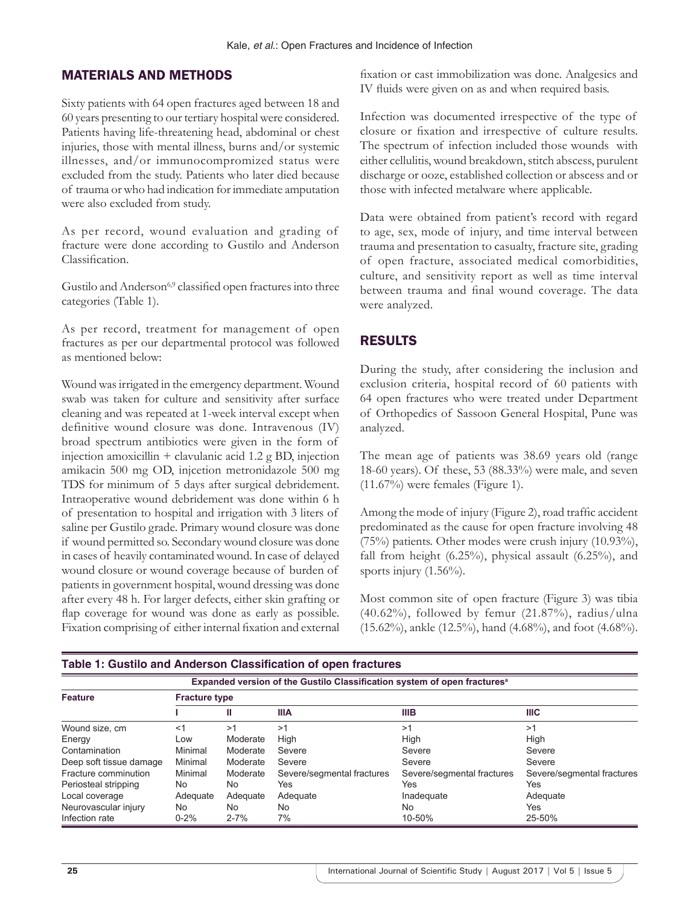## MATERIALS AND METHODS

Sixty patients with 64 open fractures aged between 18 and 60 years presenting to our tertiary hospital were considered. Patients having life-threatening head, abdominal or chest injuries, those with mental illness, burns and/or systemic illnesses, and/or immunocompromized status were excluded from the study. Patients who later died because of trauma or who had indication for immediate amputation were also excluded from study.

As per record, wound evaluation and grading of fracture were done according to Gustilo and Anderson Classification.

Gustilo and Anderson<sup>6,9</sup> classified open fractures into three categories (Table 1).

As per record, treatment for management of open fractures as per our departmental protocol was followed as mentioned below:

Wound was irrigated in the emergency department. Wound swab was taken for culture and sensitivity after surface cleaning and was repeated at 1-week interval except when definitive wound closure was done. Intravenous (IV) broad spectrum antibiotics were given in the form of injection amoxicillin + clavulanic acid 1.2 g BD, injection amikacin 500 mg OD, injcetion metronidazole 500 mg TDS for minimum of 5 days after surgical debridement. Intraoperative wound debridement was done within 6 h of presentation to hospital and irrigation with 3 liters of saline per Gustilo grade. Primary wound closure was done if wound permitted so. Secondary wound closure was done in cases of heavily contaminated wound. In case of delayed wound closure or wound coverage because of burden of patients in government hospital, wound dressing was done after every 48 h. For larger defects, either skin grafting or flap coverage for wound was done as early as possible. Fixation comprising of either internal fixation and external

fixation or cast immobilization was done. Analgesics and IV fluids were given on as and when required basis.

Infection was documented irrespective of the type of closure or fixation and irrespective of culture results. The spectrum of infection included those wounds with either cellulitis, wound breakdown, stitch abscess, purulent discharge or ooze, established collection or abscess and or those with infected metalware where applicable.

Data were obtained from patient's record with regard to age, sex, mode of injury, and time interval between trauma and presentation to casualty, fracture site, grading of open fracture, associated medical comorbidities, culture, and sensitivity report as well as time interval between trauma and final wound coverage. The data were analyzed.

### RESULTS

During the study, after considering the inclusion and exclusion criteria, hospital record of 60 patients with 64 open fractures who were treated under Department of Orthopedics of Sassoon General Hospital, Pune was analyzed.

The mean age of patients was 38.69 years old (range 18-60 years). Of these, 53 (88.33%) were male, and seven  $(11.67\%)$  were females (Figure 1).

Among the mode of injury (Figure 2), road traffic accident predominated as the cause for open fracture involving 48 (75%) patients. Other modes were crush injury (10.93%), fall from height  $(6.25\%)$ , physical assault  $(6.25\%)$ , and sports injury  $(1.56\%)$ .

Most common site of open fracture (Figure 3) was tibia  $(40.62\%)$ , followed by femur  $(21.87\%)$ , radius/ulna (15.62%), ankle (12.5%), hand (4.68%), and foot (4.68%).

| Expanded version of the Gustilo Classification system of open fractures <sup>a</sup> |                      |          |                            |                            |                            |  |  |  |
|--------------------------------------------------------------------------------------|----------------------|----------|----------------------------|----------------------------|----------------------------|--|--|--|
| <b>Feature</b>                                                                       | <b>Fracture type</b> |          |                            |                            |                            |  |  |  |
|                                                                                      |                      | Ш        | <b>IIIA</b>                | <b>IIIB</b>                | <b>IIIC</b>                |  |  |  |
| Wound size, cm                                                                       | <1                   | >1       | >1                         | >1                         | >1                         |  |  |  |
| Energy                                                                               | Low                  | Moderate | High                       | High                       | High                       |  |  |  |
| Contamination                                                                        | Minimal              | Moderate | Severe                     | Severe                     | Severe                     |  |  |  |
| Deep soft tissue damage                                                              | Minimal              | Moderate | Severe                     | Severe                     | Severe                     |  |  |  |
| Fracture comminution                                                                 | Minimal              | Moderate | Severe/segmental fractures | Severe/segmental fractures | Severe/segmental fractures |  |  |  |
| Periosteal stripping                                                                 | No                   | No.      | Yes                        | Yes                        | Yes                        |  |  |  |
| Local coverage                                                                       | Adequate             | Adequate | Adequate                   | Inadequate                 | Adequate                   |  |  |  |
| Neurovascular injury                                                                 | No                   | No.      | No.                        | No                         | Yes                        |  |  |  |
| Infection rate                                                                       | $0 - 2%$             | $2 - 7%$ | 7%                         | 10-50%                     | 25-50%                     |  |  |  |

#### **Table 1: Gustilo and Anderson Classification of open fractures**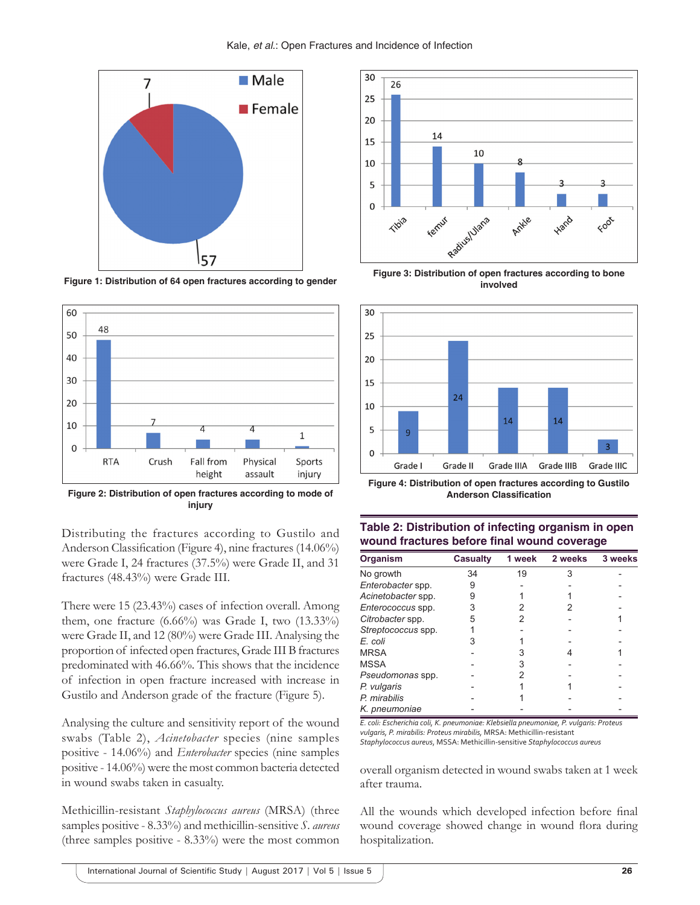

**Figure 1: Distribution of 64 open fractures according to gender**



**Figure 2: Distribution of open fractures according to mode of injury**

Distributing the fractures according to Gustilo and Anderson Classification (Figure 4), nine fractures (14.06%) were Grade I, 24 fractures (37.5%) were Grade II, and 31 fractures (48.43%) were Grade III.

There were 15 (23.43%) cases of infection overall. Among them, one fracture (6.66%) was Grade I, two (13.33%) were Grade II, and 12 (80%) were Grade III. Analysing the proportion of infected open fractures, Grade III B fractures predominated with 46.66%. This shows that the incidence of infection in open fracture increased with increase in Gustilo and Anderson grade of the fracture (Figure 5).

Analysing the culture and sensitivity report of the wound swabs (Table 2), *Acinetobacter* species (nine samples positive - 14.06%) and *Enterobacter* species (nine samples positive - 14.06%) were the most common bacteria detected in wound swabs taken in casualty.

Methicillin-resistant *Staphylococcus aureus* (MRSA) (three samples positive - 8.33%) and methicillin-sensitive *S. aureus* (three samples positive - 8.33%) were the most common



**Figure 3: Distribution of open fractures according to bone involved**



**Figure 4: Distribution of open fractures according to Gustilo Anderson Classification**

| Organism                 | <b>Casualty</b> | 1 week | 2 weeks | 3 weeks |
|--------------------------|-----------------|--------|---------|---------|
| No growth                | 34              | 19     | 3       |         |
| Enterobacter spp.        | 9               |        |         |         |
| Acinetobacter spp.       | 9               |        |         |         |
| <i>Enterococcus</i> spp. | 3               |        |         |         |
| Citrobacter spp.         | 5               |        |         |         |
| Streptococcus spp.       |                 |        |         |         |
| E. coli                  | 3               |        |         |         |
| <b>MRSA</b>              |                 |        |         |         |
| <b>MSSA</b>              |                 |        |         |         |
| Pseudomonas spp.         |                 |        |         |         |
| P. vulgaris              |                 |        |         |         |
| P. mirabilis             |                 |        |         |         |
| K. pneumoniae            |                 |        |         |         |

**Table 2: Distribution of infecting organism in open wound fractures before final wound coverage**

*E. coli: Escherichia coli, K. pneumoniae: Klebsiella pneumoniae, P. vulgaris: Proteus vulgaris, P. mirabilis: Proteus mirabilis,* MRSA: Methicillin‑resistant *Staphylococcus aureus*, MSSA: Methicillin‑sensitive *Staphylococcus aureus*

overall organism detected in wound swabs taken at 1 week after trauma.

All the wounds which developed infection before final wound coverage showed change in wound flora during hospitalization.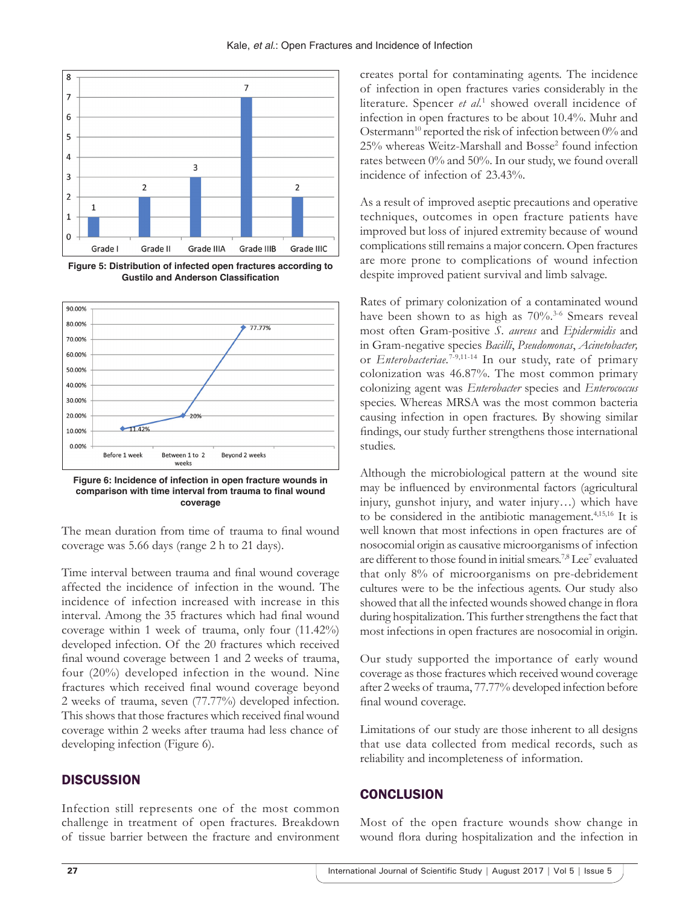

**Figure 5: Distribution of infected open fractures according to Gustilo and Anderson Classification**





The mean duration from time of trauma to final wound coverage was 5.66 days (range 2 h to 21 days).

Time interval between trauma and final wound coverage affected the incidence of infection in the wound. The incidence of infection increased with increase in this interval. Among the 35 fractures which had final wound coverage within 1 week of trauma, only four (11.42%) developed infection. Of the 20 fractures which received final wound coverage between 1 and 2 weeks of trauma, four (20%) developed infection in the wound. Nine fractures which received final wound coverage beyond 2 weeks of trauma, seven (77.77%) developed infection. This shows that those fractures which received final wound coverage within 2 weeks after trauma had less chance of developing infection (Figure 6).

### **DISCUSSION**

Infection still represents one of the most common challenge in treatment of open fractures. Breakdown of tissue barrier between the fracture and environment creates portal for contaminating agents. The incidence of infection in open fractures varies considerably in the literature. Spencer *et al.*<sup>1</sup> showed overall incidence of infection in open fractures to be about 10.4%. Muhr and Ostermann<sup>10</sup> reported the risk of infection between 0% and 25% whereas Weitz-Marshall and Bosse<sup>2</sup> found infection rates between 0% and 50%. In our study, we found overall incidence of infection of 23.43%.

As a result of improved aseptic precautions and operative techniques, outcomes in open fracture patients have improved but loss of injured extremity because of wound complications still remains a major concern. Open fractures are more prone to complications of wound infection despite improved patient survival and limb salvage.

Rates of primary colonization of a contaminated wound have been shown to as high as  $70\%$ .<sup>3-6</sup> Smears reveal most often Gram-positive *S. aureus* and *Epidermidis* and in Gram-negative species *Bacilli*, *Pseudomonas*, *Acinetobacter,* or *Enterobacteriae.*7-9,11-14 In our study, rate of primary colonization was 46.87%. The most common primary colonizing agent was *Enterobacter* species and *Enterococcus* species. Whereas MRSA was the most common bacteria causing infection in open fractures. By showing similar findings, our study further strengthens those international studies.

Although the microbiological pattern at the wound site may be influenced by environmental factors (agricultural injury, gunshot injury, and water injury…) which have to be considered in the antibiotic management.4,15,16 It is well known that most infections in open fractures are of nosocomial origin as causative microorganisms of infection are different to those found in initial smears.<sup>7,8</sup> Lee<sup>7</sup> evaluated that only 8% of microorganisms on pre-debridement cultures were to be the infectious agents. Our study also showed that all the infected wounds showed change in flora during hospitalization. This further strengthens the fact that most infections in open fractures are nosocomial in origin.

Our study supported the importance of early wound coverage as those fractures which received wound coverage after 2weeks of trauma, 77.77% developed infection before final wound coverage.

Limitations of our study are those inherent to all designs that use data collected from medical records, such as reliability and incompleteness of information.

# **CONCLUSION**

Most of the open fracture wounds show change in wound flora during hospitalization and the infection in